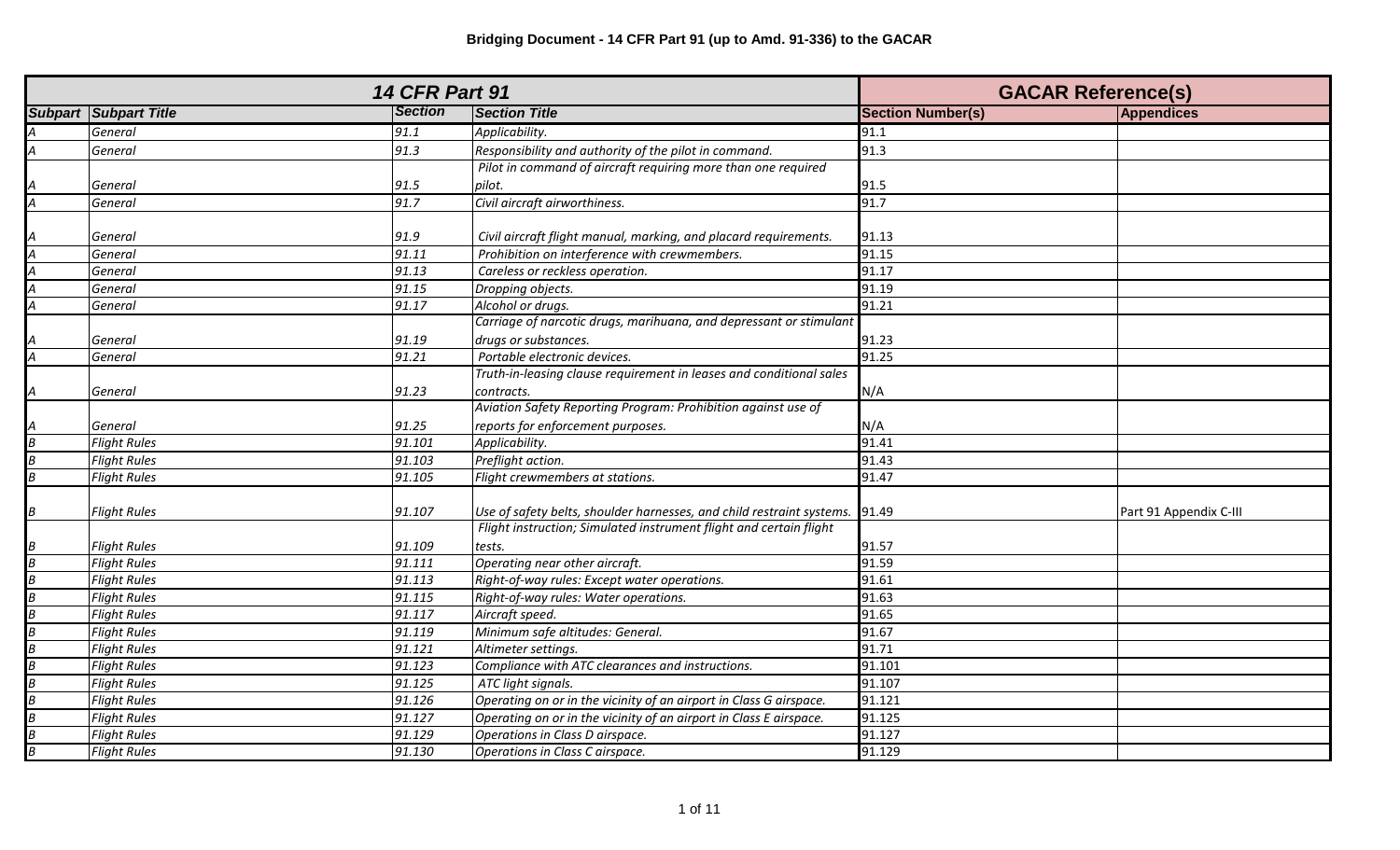|                                                                                             | <b>14 CFR Part 91</b>          |                |                                                                       | <b>GACAR Reference(s)</b> |                        |
|---------------------------------------------------------------------------------------------|--------------------------------|----------------|-----------------------------------------------------------------------|---------------------------|------------------------|
|                                                                                             | <b>Subpart   Subpart Title</b> | <b>Section</b> | <b>Section Title</b>                                                  | <b>Section Number(s)</b>  | <b>Appendices</b>      |
|                                                                                             | General                        | 91.1           | Applicability.                                                        | 91.1                      |                        |
| $\overline{A}$                                                                              | General                        | 91.3           | Responsibility and authority of the pilot in command.                 | 91.3                      |                        |
|                                                                                             |                                |                | Pilot in command of aircraft requiring more than one required         |                           |                        |
|                                                                                             | General                        | 91.5           | pilot.                                                                | 91.5                      |                        |
| $\frac{A}{A}$                                                                               | General                        | 91.7           | Civil aircraft airworthiness.                                         | 91.7                      |                        |
|                                                                                             |                                |                |                                                                       |                           |                        |
|                                                                                             | General                        | 91.9           | Civil aircraft flight manual, marking, and placard requirements.      | 91.13                     |                        |
| $\frac{\mathsf{A}}{\mathsf{A}}$                                                             | General                        | 91.11          | Prohibition on interference with crewmembers.                         | 91.15                     |                        |
|                                                                                             | General                        | 91.13          | Careless or reckless operation.                                       | 91.17                     |                        |
| $\overline{A}$                                                                              | General                        | 91.15          | Dropping objects.                                                     | 91.19                     |                        |
| $\overline{A}$                                                                              | General                        | 91.17          | Alcohol or drugs.                                                     | 91.21                     |                        |
|                                                                                             |                                |                | Carriage of narcotic drugs, marihuana, and depressant or stimulant    |                           |                        |
|                                                                                             | General                        | 91.19          | drugs or substances.                                                  | 91.23                     |                        |
| $\frac{A}{A}$                                                                               | General                        | 91.21          | Portable electronic devices.                                          | 91.25                     |                        |
|                                                                                             |                                |                | Truth-in-leasing clause requirement in leases and conditional sales   |                           |                        |
| $\overline{A}$                                                                              | General                        | 91.23          | contracts.                                                            | N/A                       |                        |
|                                                                                             |                                |                | Aviation Safety Reporting Program: Prohibition against use of         |                           |                        |
|                                                                                             | General                        | 91.25          | reports for enforcement purposes.                                     | N/A                       |                        |
|                                                                                             | <b>Flight Rules</b>            | 91.101         | Applicability.                                                        | 91.41                     |                        |
|                                                                                             | <b>Flight Rules</b>            | 91.103         | Preflight action.                                                     | 91.43                     |                        |
| $\frac{A}{B}$ $\frac{B}{B}$                                                                 | <b>Flight Rules</b>            | 91.105         | Flight crewmembers at stations.                                       | 91.47                     |                        |
|                                                                                             |                                |                |                                                                       |                           |                        |
| $\frac{B}{2}$                                                                               | <b>Flight Rules</b>            | 91.107         | Use of safety belts, shoulder harnesses, and child restraint systems. | 91.49                     | Part 91 Appendix C-III |
|                                                                                             |                                |                | Flight instruction; Simulated instrument flight and certain flight    |                           |                        |
|                                                                                             | <b>Flight Rules</b>            | 91.109         | tests.                                                                | 91.57                     |                        |
|                                                                                             | <b>Flight Rules</b>            | 91.111         | Operating near other aircraft.                                        | 91.59                     |                        |
|                                                                                             | <b>Flight Rules</b>            | 91.113         | Right-of-way rules: Except water operations.                          | 91.61                     |                        |
|                                                                                             | <b>Flight Rules</b>            | 91.115         | Right-of-way rules: Water operations.                                 | 91.63                     |                        |
|                                                                                             | <b>Flight Rules</b>            | 91.117         | Aircraft speed.                                                       | 91.65                     |                        |
|                                                                                             | <b>Flight Rules</b>            | 91.119         | Minimum safe altitudes: General.                                      | 91.67                     |                        |
|                                                                                             | <b>Flight Rules</b>            | 91.121         | Altimeter settings.                                                   | 91.71                     |                        |
|                                                                                             | <b>Flight Rules</b>            | 91.123         | Compliance with ATC clearances and instructions.                      | 91.101                    |                        |
| $\frac{B}{B}\frac{B}{B}\frac{B}{B}\frac{B}{B}\frac{B}{B}\frac{B}{B}\frac{B}{B}\frac{B}{B}}$ | <b>Flight Rules</b>            | 91.125         | ATC light signals.                                                    | 91.107                    |                        |
|                                                                                             | <b>Flight Rules</b>            | 91.126         | Operating on or in the vicinity of an airport in Class G airspace.    | 91.121                    |                        |
|                                                                                             | <b>Flight Rules</b>            | 91.127         | Operating on or in the vicinity of an airport in Class E airspace.    | 91.125                    |                        |
|                                                                                             | <b>Flight Rules</b>            | 91.129         | Operations in Class D airspace.                                       | 91.127                    |                        |
|                                                                                             | <b>Flight Rules</b>            | 91.130         | Operations in Class C airspace.                                       | 91.129                    |                        |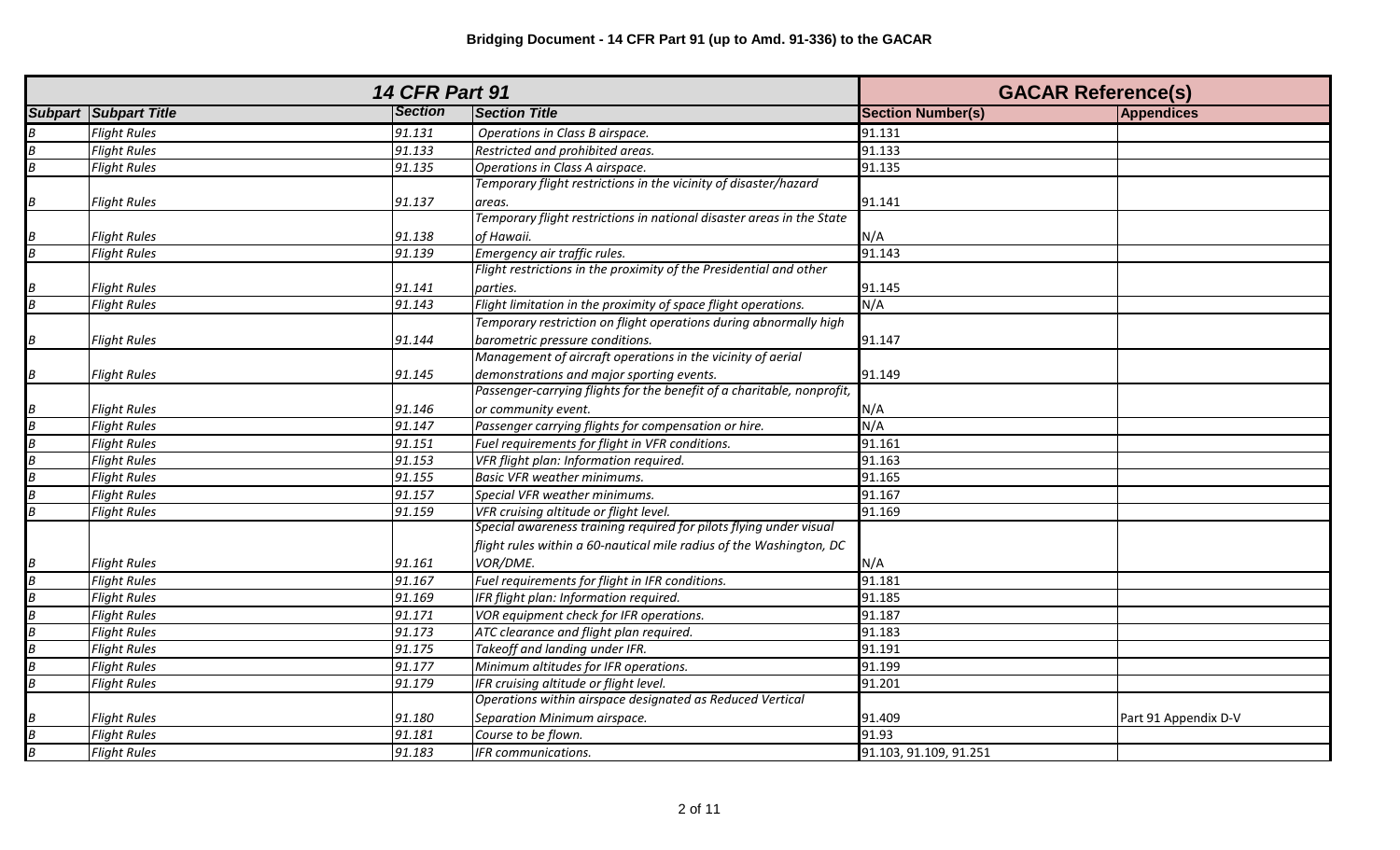| <b>14 CFR Part 91</b>                                         |                              |                |                                                                        | <b>GACAR Reference(s)</b> |                      |
|---------------------------------------------------------------|------------------------------|----------------|------------------------------------------------------------------------|---------------------------|----------------------|
|                                                               | <b>Subpart Subpart Title</b> | <b>Section</b> | <b>Section Title</b>                                                   | <b>Section Number(s)</b>  | <b>Appendices</b>    |
| $\overline{B}$                                                | <b>Flight Rules</b>          | 91.131         | Operations in Class B airspace.                                        | 91.131                    |                      |
| $\boldsymbol{B}$                                              | <b>Flight Rules</b>          | 91.133         | Restricted and prohibited areas.                                       | 91.133                    |                      |
| $\overline{B}$                                                | <b>Flight Rules</b>          | 91.135         | Operations in Class A airspace.                                        | 91.135                    |                      |
|                                                               |                              |                | Temporary flight restrictions in the vicinity of disaster/hazard       |                           |                      |
| $\overline{B}$                                                | <b>Flight Rules</b>          | 91.137         | areas.                                                                 | 91.141                    |                      |
|                                                               |                              |                | Temporary flight restrictions in national disaster areas in the State  |                           |                      |
|                                                               | <b>Flight Rules</b>          | 91.138         | of Hawaii.                                                             | N/A                       |                      |
| $\frac{B}{B}$                                                 | <b>Flight Rules</b>          | 91.139         | Emergency air traffic rules.                                           | 91.143                    |                      |
|                                                               |                              |                | Flight restrictions in the proximity of the Presidential and other     |                           |                      |
|                                                               | Flight Rules                 | 91.141         | parties.                                                               | 91.145                    |                      |
| $\frac{B}{B}$                                                 | <b>Flight Rules</b>          | 91.143         | Flight limitation in the proximity of space flight operations.         | N/A                       |                      |
|                                                               |                              |                | Temporary restriction on flight operations during abnormally high      |                           |                      |
| $\overline{B}$                                                | <b>Flight Rules</b>          | 91.144         | barometric pressure conditions.                                        | 91.147                    |                      |
|                                                               |                              |                | Management of aircraft operations in the vicinity of aerial            |                           |                      |
| $\overline{B}$                                                | <b>Flight Rules</b>          | 91.145         | demonstrations and major sporting events.                              | 91.149                    |                      |
|                                                               |                              |                | Passenger-carrying flights for the benefit of a charitable, nonprofit, |                           |                      |
|                                                               | <b>Flight Rules</b>          | 91.146         | or community event.                                                    | N/A                       |                      |
| $\frac{B}{B}$ $\frac{B}{B}$ $\frac{B}{B}$ $\frac{B}{B}$       | <b>Flight Rules</b>          | 91.147         | Passenger carrying flights for compensation or hire.                   | N/A                       |                      |
|                                                               | <b>Flight Rules</b>          | 91.151         | Fuel requirements for flight in VFR conditions.                        | 91.161                    |                      |
|                                                               | <b>Flight Rules</b>          | 91.153         | VFR flight plan: Information required.                                 | 91.163                    |                      |
|                                                               | <b>Flight Rules</b>          | 91.155         | <b>Basic VFR weather minimums.</b>                                     | 91.165                    |                      |
|                                                               | <b>Flight Rules</b>          | 91.157         | Special VFR weather minimums.                                          | 91.167                    |                      |
| $\overline{B}$                                                | <b>Flight Rules</b>          | 91.159         | VFR cruising altitude or flight level.                                 | 91.169                    |                      |
|                                                               |                              |                | Special awareness training required for pilots flying under visual     |                           |                      |
|                                                               |                              |                | flight rules within a 60-nautical mile radius of the Washington, DC    |                           |                      |
|                                                               | <b>Flight Rules</b>          | 91.161         | VOR/DME.                                                               | N/A                       |                      |
|                                                               | <b>Flight Rules</b>          | 91.167         | Fuel requirements for flight in IFR conditions.                        | 91.181                    |                      |
|                                                               | <b>Flight Rules</b>          | 91.169         | IFR flight plan: Information required.                                 | 91.185                    |                      |
|                                                               | <b>Flight Rules</b>          | 91.171         | VOR equipment check for IFR operations.                                | 91.187                    |                      |
|                                                               | <b>Flight Rules</b>          | 91.173         | ATC clearance and flight plan required.                                | 91.183                    |                      |
| $\frac{B}{B} \frac{B}{B} \frac{B}{B} \frac{B}{B} \frac{B}{B}$ | <b>Flight Rules</b>          | 91.175         | Takeoff and landing under IFR.                                         | 91.191                    |                      |
|                                                               | <b>Flight Rules</b>          | 91.177         | Minimum altitudes for IFR operations.                                  | 91.199                    |                      |
|                                                               | <b>Flight Rules</b>          | 91.179         | IFR cruising altitude or flight level.                                 | 91.201                    |                      |
|                                                               |                              |                | Operations within airspace designated as Reduced Vertical              |                           |                      |
|                                                               | <b>Flight Rules</b>          | 91.180         | Separation Minimum airspace.                                           | 91.409                    | Part 91 Appendix D-V |
| $\frac{B}{B}$                                                 | <b>Flight Rules</b>          | 91.181         | Course to be flown.                                                    | 91.93                     |                      |
|                                                               | <b>Flight Rules</b>          | 91.183         | <b>IFR</b> communications.                                             | 91.103, 91.109, 91.251    |                      |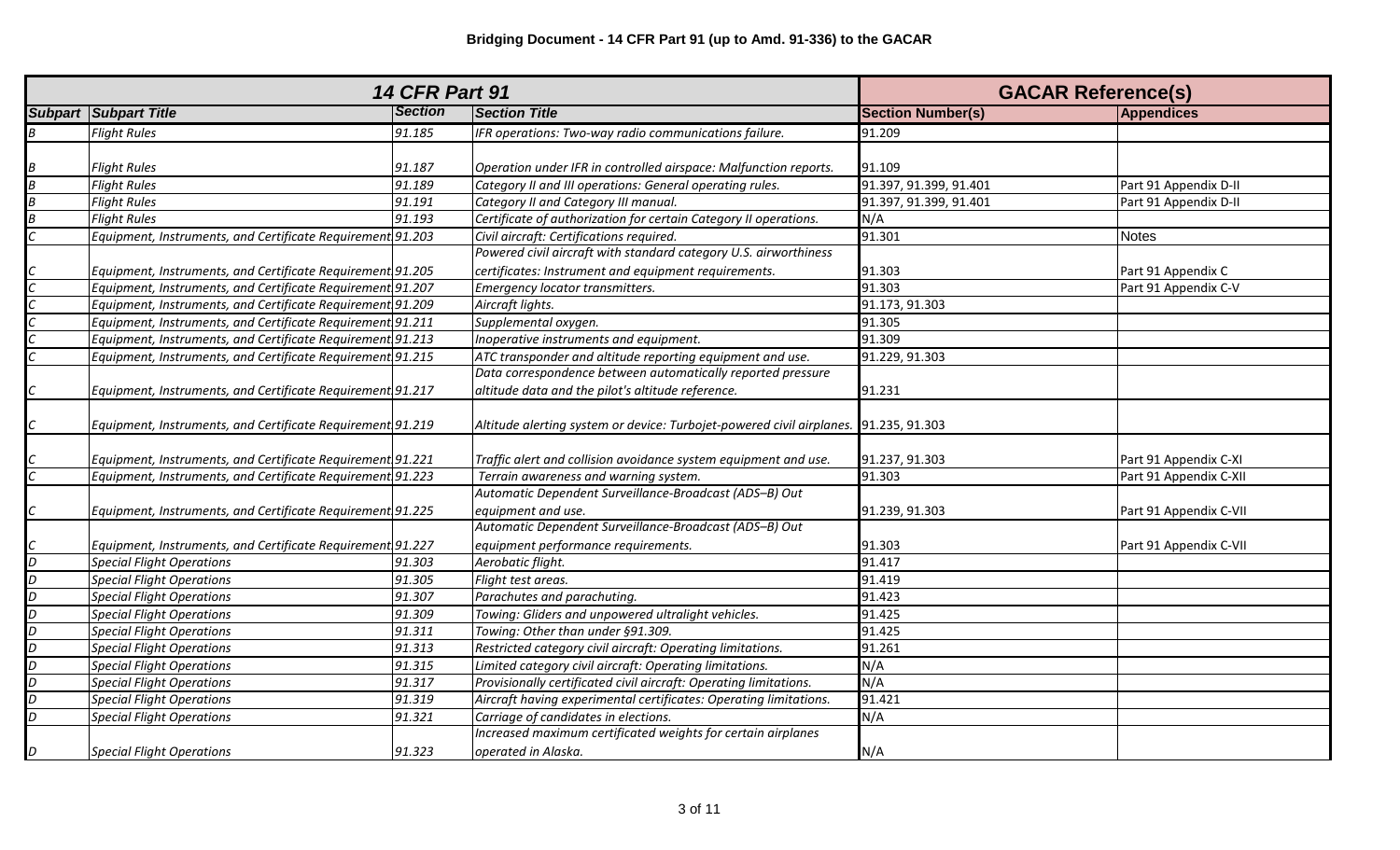|                  | <b>14 CFR Part 91</b>                                      | <b>GACAR Reference(s)</b> |                                                                                      |                          |                        |
|------------------|------------------------------------------------------------|---------------------------|--------------------------------------------------------------------------------------|--------------------------|------------------------|
|                  | <b>Subpart Subpart Title</b>                               | <b>Section</b>            | <b>Section Title</b>                                                                 | <b>Section Number(s)</b> | Appendices             |
| $\boldsymbol{B}$ | <b>Flight Rules</b>                                        | 91.185                    | IFR operations: Two-way radio communications failure.                                | 91.209                   |                        |
|                  |                                                            |                           |                                                                                      |                          |                        |
| B                | <b>Flight Rules</b>                                        | 91.187                    | Operation under IFR in controlled airspace: Malfunction reports.                     | 91.109                   |                        |
| $\boldsymbol{B}$ | <b>Flight Rules</b>                                        | 91.189                    | Category II and III operations: General operating rules.                             | 91.397, 91.399, 91.401   | Part 91 Appendix D-II  |
| $\overline{B}$   | <b>Flight Rules</b>                                        | 91.191                    | Category II and Category III manual.                                                 | 91.397, 91.399, 91.401   | Part 91 Appendix D-II  |
| $\overline{B}$   | <b>Flight Rules</b>                                        | 91.193                    | Certificate of authorization for certain Category II operations.                     | N/A                      |                        |
|                  | Equipment, Instruments, and Certificate Requirement 91.203 |                           | Civil aircraft: Certifications required.                                             | 91.301                   | <b>Notes</b>           |
|                  |                                                            |                           | Powered civil aircraft with standard category U.S. airworthiness                     |                          |                        |
|                  | Equipment, Instruments, and Certificate Requirement 91.205 |                           | certificates: Instrument and equipment requirements.                                 | 91.303                   | Part 91 Appendix C     |
|                  | Equipment, Instruments, and Certificate Requirement 91.207 |                           | Emergency locator transmitters.                                                      | 91.303                   | Part 91 Appendix C-V   |
|                  | Equipment, Instruments, and Certificate Requirement 91.209 |                           | Aircraft lights.                                                                     | 91.173, 91.303           |                        |
|                  | Equipment, Instruments, and Certificate Requirement 91.211 |                           | Supplemental oxygen.                                                                 | 91.305                   |                        |
|                  | Equipment, Instruments, and Certificate Requirement 91.213 |                           | Inoperative instruments and equipment.                                               | 91.309                   |                        |
|                  | Equipment, Instruments, and Certificate Requirement 91.215 |                           | ATC transponder and altitude reporting equipment and use.                            | 91.229, 91.303           |                        |
|                  |                                                            |                           | Data correspondence between automatically reported pressure                          |                          |                        |
|                  | Equipment, Instruments, and Certificate Requirement 91.217 |                           | altitude data and the pilot's altitude reference.                                    | 91.231                   |                        |
|                  |                                                            |                           |                                                                                      |                          |                        |
|                  | Equipment, Instruments, and Certificate Requirement 91.219 |                           | Altitude alerting system or device: Turbojet-powered civil airplanes. 91.235, 91.303 |                          |                        |
|                  |                                                            |                           |                                                                                      |                          |                        |
|                  | Equipment, Instruments, and Certificate Requirement 91.221 |                           | Traffic alert and collision avoidance system equipment and use.                      | 91.237, 91.303           | Part 91 Appendix C-XI  |
|                  | Equipment, Instruments, and Certificate Requirement 91.223 |                           | Terrain awareness and warning system.                                                | 91.303                   | Part 91 Appendix C-XII |
|                  |                                                            |                           | Automatic Dependent Surveillance-Broadcast (ADS-B) Out                               |                          |                        |
|                  | Equipment, Instruments, and Certificate Requirement 91.225 |                           | equipment and use.                                                                   | 91.239, 91.303           | Part 91 Appendix C-VII |
|                  |                                                            |                           | Automatic Dependent Surveillance-Broadcast (ADS-B) Out                               |                          |                        |
|                  | Equipment, Instruments, and Certificate Requirement 91.227 |                           | equipment performance requirements.                                                  | 91.303                   | Part 91 Appendix C-VII |
| $\overline{D}$   | <b>Special Flight Operations</b>                           | 91.303                    | Aerobatic flight.                                                                    | 91.417                   |                        |
| $\overline{D}$   | <b>Special Flight Operations</b>                           | 91.305                    | Flight test areas.                                                                   | 91.419                   |                        |
| D                | <b>Special Flight Operations</b>                           | 91.307                    | Parachutes and parachuting.                                                          | 91.423                   |                        |
| D                | <b>Special Flight Operations</b>                           | 91.309                    | Towing: Gliders and unpowered ultralight vehicles.                                   | 91.425                   |                        |
| $\overline{D}$   | <b>Special Flight Operations</b>                           | 91.311                    | Towing: Other than under §91.309.                                                    | 91.425                   |                        |
| D                | <b>Special Flight Operations</b>                           | 91.313                    | Restricted category civil aircraft: Operating limitations.                           | 91.261                   |                        |
| D                | <b>Special Flight Operations</b>                           | 91.315                    | Limited category civil aircraft: Operating limitations.                              | N/A                      |                        |
| $\overline{D}$   | <b>Special Flight Operations</b>                           | 91.317                    | Provisionally certificated civil aircraft: Operating limitations.                    | N/A                      |                        |
| D                | <b>Special Flight Operations</b>                           | 91.319                    | Aircraft having experimental certificates: Operating limitations.                    | 91.421                   |                        |
| D                | <b>Special Flight Operations</b>                           | 91.321                    | Carriage of candidates in elections.                                                 | N/A                      |                        |
|                  |                                                            |                           | Increased maximum certificated weights for certain airplanes                         |                          |                        |
| D                | <b>Special Flight Operations</b>                           | 91.323                    | operated in Alaska.                                                                  | N/A                      |                        |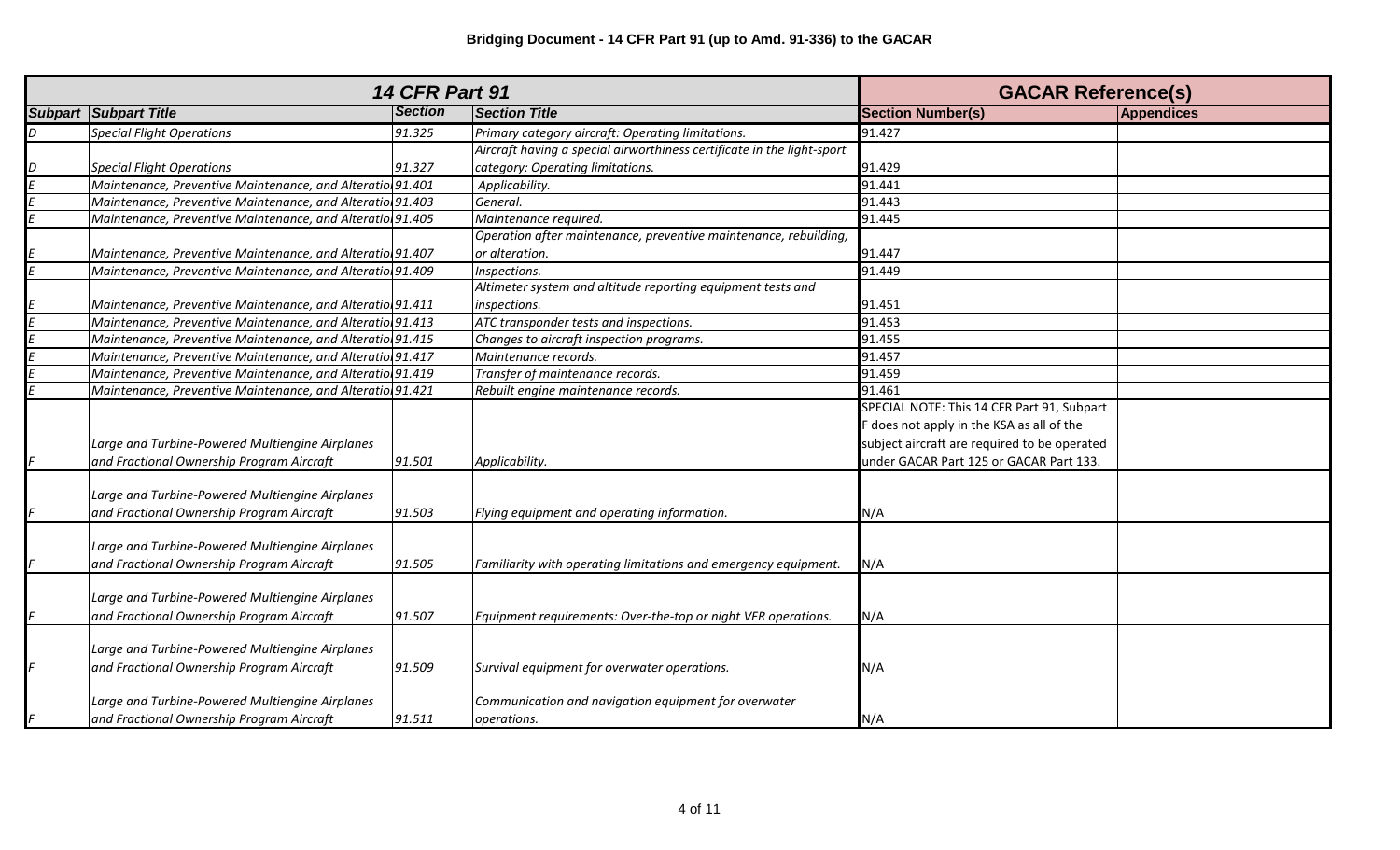|   | <b>14 CFR Part 91</b>                                     | <b>GACAR Reference(s)</b> |                                                                        |                                              |                   |
|---|-----------------------------------------------------------|---------------------------|------------------------------------------------------------------------|----------------------------------------------|-------------------|
|   | <b>Subpart Subpart Title</b>                              | <b>Section</b>            | <b>Section Title</b>                                                   | <b>Section Number(s)</b>                     | <b>Appendices</b> |
| D | <b>Special Flight Operations</b>                          | 91.325                    | Primary category aircraft: Operating limitations.                      | 91.427                                       |                   |
|   |                                                           |                           | Aircraft having a special airworthiness certificate in the light-sport |                                              |                   |
|   | <b>Special Flight Operations</b>                          | 91.327                    | category: Operating limitations.                                       | 91.429                                       |                   |
|   | Maintenance, Preventive Maintenance, and Alteratio 91.401 |                           | Applicability.                                                         | 91.441                                       |                   |
|   | Maintenance, Preventive Maintenance, and Alteratio 91.403 |                           | General.                                                               | 91.443                                       |                   |
|   | Maintenance, Preventive Maintenance, and Alteratio 91.405 |                           | Maintenance required.                                                  | 91.445                                       |                   |
|   |                                                           |                           | Operation after maintenance, preventive maintenance, rebuilding,       |                                              |                   |
|   | Maintenance, Preventive Maintenance, and Alteratio 91.407 |                           | or alteration.                                                         | 91.447                                       |                   |
|   | Maintenance, Preventive Maintenance, and Alteratio 91.409 |                           | Inspections.                                                           | 91.449                                       |                   |
|   |                                                           |                           | Altimeter system and altitude reporting equipment tests and            |                                              |                   |
|   | Maintenance, Preventive Maintenance, and Alteratio 91.411 |                           | inspections.                                                           | 91.451                                       |                   |
|   | Maintenance, Preventive Maintenance, and Alteratio 91.413 |                           | ATC transponder tests and inspections.                                 | 91.453                                       |                   |
|   | Maintenance, Preventive Maintenance, and Alteratio 91.415 |                           | Changes to aircraft inspection programs.                               | 91.455                                       |                   |
|   | Maintenance, Preventive Maintenance, and Alteratio 91.417 |                           | Maintenance records.                                                   | 91.457                                       |                   |
|   | Maintenance, Preventive Maintenance, and Alteratio 91.419 |                           | Transfer of maintenance records.                                       | 91.459                                       |                   |
|   | Maintenance, Preventive Maintenance, and Alteratio 91.421 |                           | Rebuilt engine maintenance records.                                    | 91.461                                       |                   |
|   |                                                           |                           |                                                                        | SPECIAL NOTE: This 14 CFR Part 91, Subpart   |                   |
|   |                                                           |                           |                                                                        | F does not apply in the KSA as all of the    |                   |
|   | Large and Turbine-Powered Multiengine Airplanes           |                           |                                                                        | subject aircraft are required to be operated |                   |
|   | and Fractional Ownership Program Aircraft                 | 91.501                    | Applicability.                                                         | under GACAR Part 125 or GACAR Part 133.      |                   |
|   |                                                           |                           |                                                                        |                                              |                   |
|   | Large and Turbine-Powered Multiengine Airplanes           |                           |                                                                        |                                              |                   |
|   | and Fractional Ownership Program Aircraft                 | 91.503                    | Flying equipment and operating information.                            | N/A                                          |                   |
|   |                                                           |                           |                                                                        |                                              |                   |
|   | Large and Turbine-Powered Multiengine Airplanes           |                           |                                                                        |                                              |                   |
|   | and Fractional Ownership Program Aircraft                 | 91.505                    | Familiarity with operating limitations and emergency equipment.        | N/A                                          |                   |
|   |                                                           |                           |                                                                        |                                              |                   |
|   | Large and Turbine-Powered Multiengine Airplanes           |                           |                                                                        |                                              |                   |
|   | and Fractional Ownership Program Aircraft                 | 91.507                    | Equipment requirements: Over-the-top or night VFR operations.          | N/A                                          |                   |
|   |                                                           |                           |                                                                        |                                              |                   |
|   | Large and Turbine-Powered Multiengine Airplanes           |                           |                                                                        |                                              |                   |
|   | and Fractional Ownership Program Aircraft                 | 91.509                    | Survival equipment for overwater operations.                           | N/A                                          |                   |
|   |                                                           |                           |                                                                        |                                              |                   |
|   | Large and Turbine-Powered Multiengine Airplanes           |                           | Communication and navigation equipment for overwater                   |                                              |                   |
|   | and Fractional Ownership Program Aircraft                 | 91.511                    | operations.                                                            | N/A                                          |                   |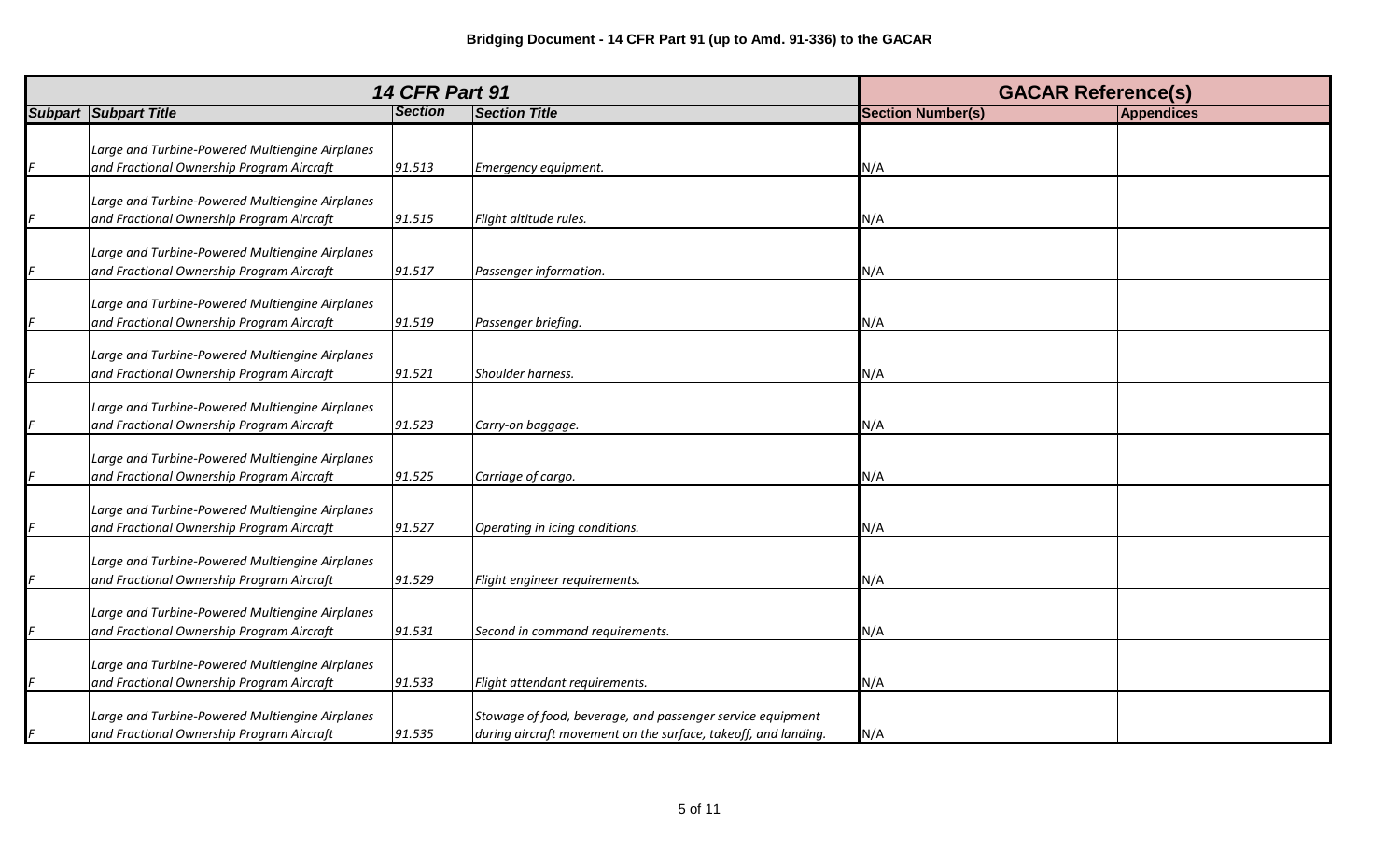| <b>14 CFR Part 91</b>                                                                        | <b>GACAR Reference(s)</b> |                                                                                                                              |                          |                   |
|----------------------------------------------------------------------------------------------|---------------------------|------------------------------------------------------------------------------------------------------------------------------|--------------------------|-------------------|
| <b>Subpart Subpart Title</b>                                                                 | <b>Section</b>            | <b>Section Title</b>                                                                                                         | <b>Section Number(s)</b> | <b>Appendices</b> |
| Large and Turbine-Powered Multiengine Airplanes<br>and Fractional Ownership Program Aircraft | 91.513                    | Emergency equipment.                                                                                                         | N/A                      |                   |
| Large and Turbine-Powered Multiengine Airplanes<br>and Fractional Ownership Program Aircraft | 91.515                    | Flight altitude rules.                                                                                                       | N/A                      |                   |
| Large and Turbine-Powered Multiengine Airplanes<br>and Fractional Ownership Program Aircraft | 91.517                    | Passenger information.                                                                                                       | N/A                      |                   |
| Large and Turbine-Powered Multiengine Airplanes<br>and Fractional Ownership Program Aircraft | 91.519                    | Passenger briefing.                                                                                                          | N/A                      |                   |
| Large and Turbine-Powered Multiengine Airplanes<br>and Fractional Ownership Program Aircraft | 91.521                    | Shoulder harness.                                                                                                            | N/A                      |                   |
| Large and Turbine-Powered Multiengine Airplanes<br>and Fractional Ownership Program Aircraft | 91.523                    | Carry-on baggage.                                                                                                            | N/A                      |                   |
| Large and Turbine-Powered Multiengine Airplanes<br>and Fractional Ownership Program Aircraft | 91.525                    | Carriage of cargo.                                                                                                           | N/A                      |                   |
| Large and Turbine-Powered Multiengine Airplanes<br>and Fractional Ownership Program Aircraft | 91.527                    | Operating in icing conditions.                                                                                               | N/A                      |                   |
| Large and Turbine-Powered Multiengine Airplanes<br>and Fractional Ownership Program Aircraft | 91.529                    | Flight engineer requirements.                                                                                                | N/A                      |                   |
| Large and Turbine-Powered Multiengine Airplanes<br>and Fractional Ownership Program Aircraft | 91.531                    | Second in command requirements.                                                                                              | N/A                      |                   |
| Large and Turbine-Powered Multiengine Airplanes<br>and Fractional Ownership Program Aircraft | 91.533                    | Flight attendant requirements.                                                                                               | N/A                      |                   |
| Large and Turbine-Powered Multiengine Airplanes<br>and Fractional Ownership Program Aircraft | 91.535                    | Stowage of food, beverage, and passenger service equipment<br>during aircraft movement on the surface, takeoff, and landing. | N/A                      |                   |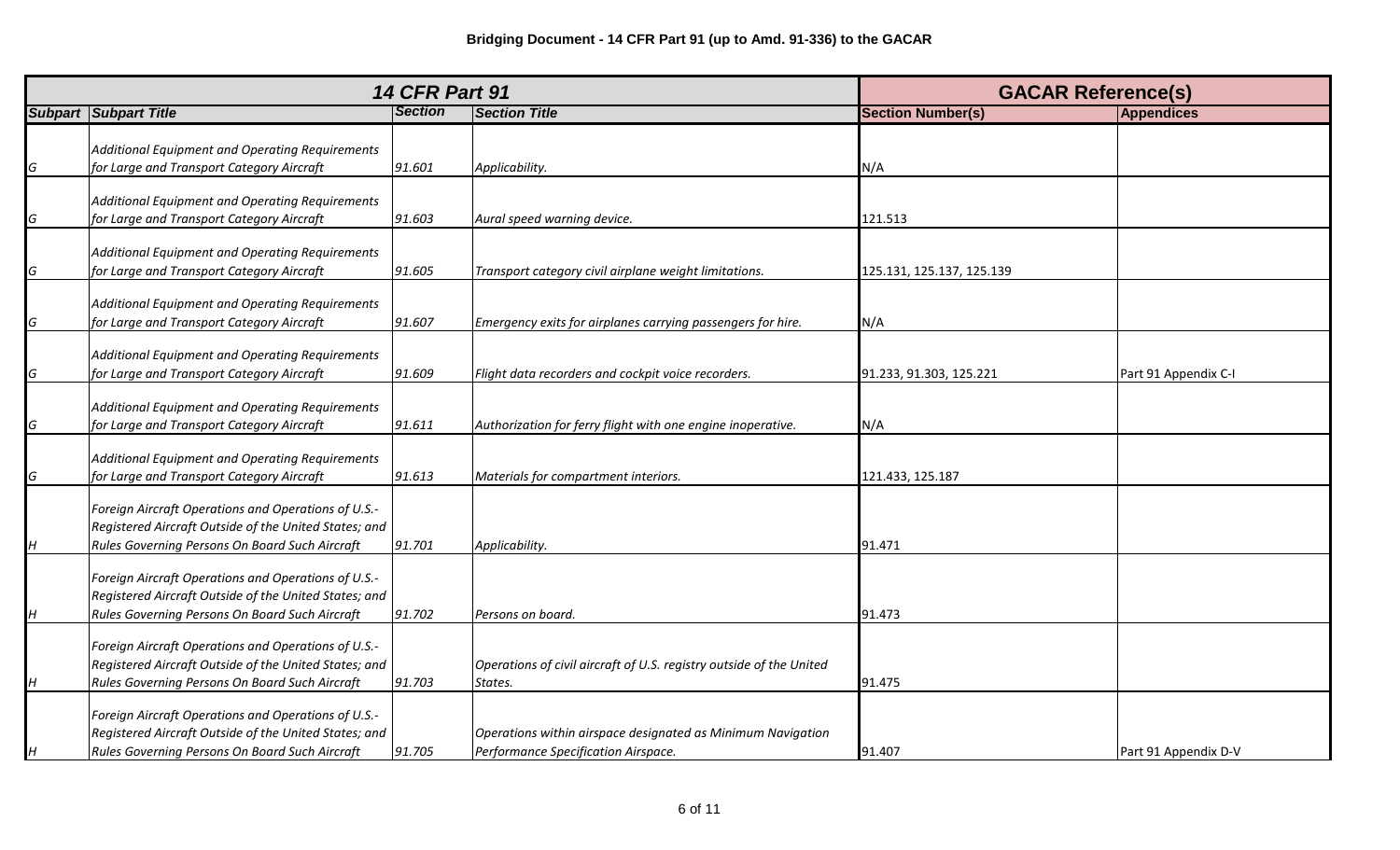|   |                                                                                                                                                                |                | <b>14 CFR Part 91</b>                                                                              | <b>GACAR Reference(s)</b> |                      |
|---|----------------------------------------------------------------------------------------------------------------------------------------------------------------|----------------|----------------------------------------------------------------------------------------------------|---------------------------|----------------------|
|   | <b>Subpart Subpart Title</b>                                                                                                                                   | <b>Section</b> | <b>Section Title</b>                                                                               | <b>Section Number(s)</b>  | <b>Appendices</b>    |
| G | Additional Equipment and Operating Requirements<br>for Large and Transport Category Aircraft                                                                   | 91.601         | Applicability.                                                                                     | N/A                       |                      |
| G | Additional Equipment and Operating Requirements<br>for Large and Transport Category Aircraft                                                                   | 91.603         | Aural speed warning device.                                                                        | 121.513                   |                      |
| G | Additional Equipment and Operating Requirements<br>for Large and Transport Category Aircraft                                                                   | 91.605         | Transport category civil airplane weight limitations.                                              | 125.131, 125.137, 125.139 |                      |
| G | Additional Equipment and Operating Requirements<br>for Large and Transport Category Aircraft                                                                   | 91.607         | Emergency exits for airplanes carrying passengers for hire.                                        | N/A                       |                      |
| G | Additional Equipment and Operating Requirements<br>for Large and Transport Category Aircraft                                                                   | 91.609         | Flight data recorders and cockpit voice recorders.                                                 | 91.233, 91.303, 125.221   | Part 91 Appendix C-I |
| G | Additional Equipment and Operating Requirements<br>for Large and Transport Category Aircraft                                                                   | 91.611         | Authorization for ferry flight with one engine inoperative.                                        | N/A                       |                      |
| G | Additional Equipment and Operating Requirements<br>for Large and Transport Category Aircraft                                                                   | 91.613         | Materials for compartment interiors.                                                               | 121.433, 125.187          |                      |
| H | Foreign Aircraft Operations and Operations of U.S.-<br>Registered Aircraft Outside of the United States; and<br>Rules Governing Persons On Board Such Aircraft | 91.701         | Applicability.                                                                                     | 91.471                    |                      |
| H | Foreign Aircraft Operations and Operations of U.S.-<br>Registered Aircraft Outside of the United States; and<br>Rules Governing Persons On Board Such Aircraft | 91.702         | Persons on board.                                                                                  | 91.473                    |                      |
| H | Foreign Aircraft Operations and Operations of U.S.-<br>Registered Aircraft Outside of the United States; and<br>Rules Governing Persons On Board Such Aircraft | 91.703         | Operations of civil aircraft of U.S. registry outside of the United<br>States.                     | 91.475                    |                      |
| H | Foreign Aircraft Operations and Operations of U.S.-<br>Registered Aircraft Outside of the United States; and<br>Rules Governing Persons On Board Such Aircraft | 91.705         | Operations within airspace designated as Minimum Navigation<br>Performance Specification Airspace. | 91.407                    | Part 91 Appendix D-V |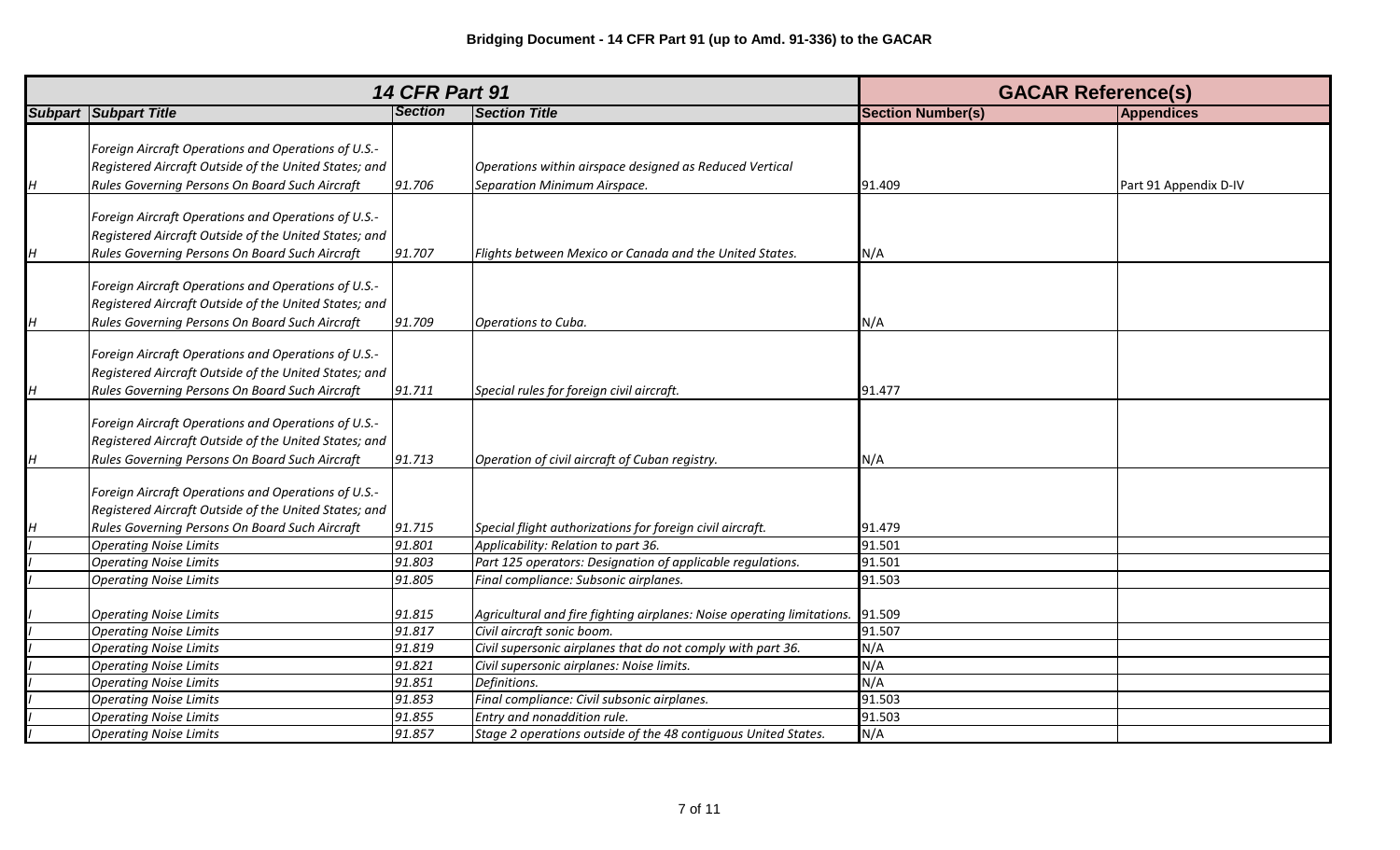|   | <b>14 CFR Part 91</b>                                                                                                                                          |                |                                                                                         | <b>GACAR Reference(s)</b> |                       |
|---|----------------------------------------------------------------------------------------------------------------------------------------------------------------|----------------|-----------------------------------------------------------------------------------------|---------------------------|-----------------------|
|   | <b>Subpart Subpart Title</b>                                                                                                                                   | <b>Section</b> | <b>Section Title</b>                                                                    | <b>Section Number(s)</b>  | <b>Appendices</b>     |
| H | Foreign Aircraft Operations and Operations of U.S.-<br>Registered Aircraft Outside of the United States; and<br>Rules Governing Persons On Board Such Aircraft | 91.706         | Operations within airspace designed as Reduced Vertical<br>Separation Minimum Airspace. | 91.409                    | Part 91 Appendix D-IV |
| H | Foreign Aircraft Operations and Operations of U.S.-<br>Registered Aircraft Outside of the United States; and<br>Rules Governing Persons On Board Such Aircraft | 91.707         | Flights between Mexico or Canada and the United States.                                 | N/A                       |                       |
| H | Foreign Aircraft Operations and Operations of U.S.-<br>Registered Aircraft Outside of the United States; and<br>Rules Governing Persons On Board Such Aircraft | 91.709         | Operations to Cuba.                                                                     | N/A                       |                       |
| H | Foreign Aircraft Operations and Operations of U.S.-<br>Registered Aircraft Outside of the United States; and<br>Rules Governing Persons On Board Such Aircraft | 91.711         | Special rules for foreign civil aircraft.                                               | 91.477                    |                       |
| H | Foreign Aircraft Operations and Operations of U.S.-<br>Registered Aircraft Outside of the United States; and<br>Rules Governing Persons On Board Such Aircraft | 91.713         | Operation of civil aircraft of Cuban registry.                                          | N/A                       |                       |
| H | Foreign Aircraft Operations and Operations of U.S.-<br>Registered Aircraft Outside of the United States; and<br>Rules Governing Persons On Board Such Aircraft | 91.715         | Special flight authorizations for foreign civil aircraft.                               | 91.479                    |                       |
|   | <b>Operating Noise Limits</b>                                                                                                                                  | 91.801         | Applicability: Relation to part 36.                                                     | 91.501                    |                       |
|   | <b>Operating Noise Limits</b>                                                                                                                                  | 91.803         | Part 125 operators: Designation of applicable regulations.                              | 91.501                    |                       |
|   | <b>Operating Noise Limits</b>                                                                                                                                  | 91.805         | Final compliance: Subsonic airplanes.                                                   | 91.503                    |                       |
|   | <b>Operating Noise Limits</b>                                                                                                                                  | 91.815         | Agricultural and fire fighting airplanes: Noise operating limitations.                  | 91.509                    |                       |
|   | <b>Operating Noise Limits</b>                                                                                                                                  | 91.817         | Civil aircraft sonic boom.                                                              | 91.507                    |                       |
|   | <b>Operating Noise Limits</b>                                                                                                                                  | 91.819         | Civil supersonic airplanes that do not comply with part 36.                             | N/A                       |                       |
|   | <b>Operating Noise Limits</b>                                                                                                                                  | 91.821         | Civil supersonic airplanes: Noise limits.                                               | N/A                       |                       |
|   | <b>Operating Noise Limits</b>                                                                                                                                  | 91.851         | Definitions.                                                                            | N/A                       |                       |
|   | <b>Operating Noise Limits</b>                                                                                                                                  | 91.853         | Final compliance: Civil subsonic airplanes.                                             | 91.503                    |                       |
|   | <b>Operating Noise Limits</b>                                                                                                                                  | 91.855         | Entry and nonaddition rule.                                                             | 91.503                    |                       |
|   | <b>Operating Noise Limits</b>                                                                                                                                  | 91.857         | Stage 2 operations outside of the 48 contiguous United States.                          | N/A                       |                       |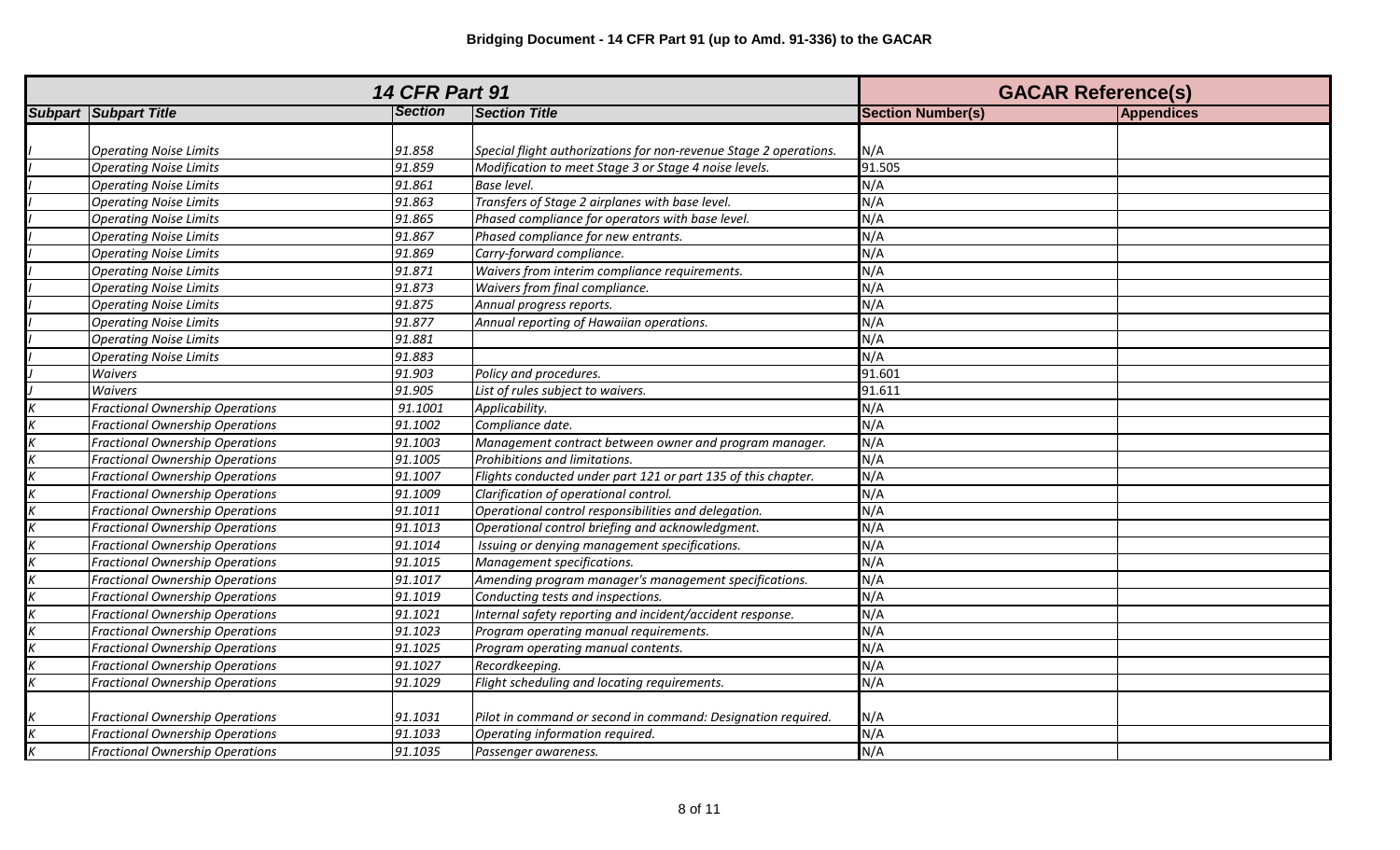| <b>14 CFR Part 91</b> |                                        |                |                                                                   | <b>GACAR Reference(s)</b> |                   |
|-----------------------|----------------------------------------|----------------|-------------------------------------------------------------------|---------------------------|-------------------|
|                       | <b>Subpart Subpart Title</b>           | <b>Section</b> | <b>Section Title</b>                                              | <b>Section Number(s)</b>  | <b>Appendices</b> |
|                       |                                        |                |                                                                   |                           |                   |
|                       | <b>Operating Noise Limits</b>          | 91.858         | Special flight authorizations for non-revenue Stage 2 operations. | N/A                       |                   |
|                       | <b>Operating Noise Limits</b>          | 91.859         | Modification to meet Stage 3 or Stage 4 noise levels.             | 91.505                    |                   |
|                       | <b>Operating Noise Limits</b>          | 91.861         | <b>Base level.</b>                                                | N/A                       |                   |
|                       | <b>Operating Noise Limits</b>          | 91.863         | Transfers of Stage 2 airplanes with base level.                   | N/A                       |                   |
|                       | <b>Operating Noise Limits</b>          | 91.865         | Phased compliance for operators with base level.                  | N/A                       |                   |
|                       | <b>Operating Noise Limits</b>          | 91.867         | Phased compliance for new entrants.                               | N/A                       |                   |
|                       | <b>Operating Noise Limits</b>          | 91.869         | Carry-forward compliance.                                         | N/A                       |                   |
|                       | <b>Operating Noise Limits</b>          | 91.871         | Waivers from interim compliance requirements.                     | N/A                       |                   |
|                       | <b>Operating Noise Limits</b>          | 91.873         | Waivers from final compliance.                                    | N/A                       |                   |
|                       | <b>Operating Noise Limits</b>          | 91.875         | Annual progress reports.                                          | N/A                       |                   |
|                       | <b>Operating Noise Limits</b>          | 91.877         | Annual reporting of Hawaiian operations.                          | N/A                       |                   |
|                       | <b>Operating Noise Limits</b>          | 91.881         |                                                                   | N/A                       |                   |
|                       | <b>Operating Noise Limits</b>          | 91.883         |                                                                   | N/A                       |                   |
|                       | Waivers                                | 91.903         | Policy and procedures.                                            | 91.601                    |                   |
|                       | Waivers                                | 91.905         | List of rules subject to waivers.                                 | 91.611                    |                   |
|                       | Fractional Ownership Operations        | 91.1001        | Applicability.                                                    | N/A                       |                   |
|                       | <b>Fractional Ownership Operations</b> | 91.1002        | Compliance date.                                                  | N/A                       |                   |
|                       | Fractional Ownership Operations        | 91.1003        | Management contract between owner and program manager.            | N/A                       |                   |
|                       | <b>Fractional Ownership Operations</b> | 91.1005        | Prohibitions and limitations.                                     | N/A                       |                   |
|                       | <b>Fractional Ownership Operations</b> | 91.1007        | Flights conducted under part 121 or part 135 of this chapter.     | N/A                       |                   |
|                       | <b>Fractional Ownership Operations</b> | 91.1009        | Clarification of operational control.                             | N/A                       |                   |
|                       | <b>Fractional Ownership Operations</b> | 91.1011        | Operational control responsibilities and delegation.              | N/A                       |                   |
|                       | <b>Fractional Ownership Operations</b> | 91.1013        | Operational control briefing and acknowledgment.                  | N/A                       |                   |
|                       | <b>Fractional Ownership Operations</b> | 91.1014        | Issuing or denying management specifications.                     | N/A                       |                   |
|                       | Fractional Ownership Operations        | 91.1015        | Management specifications.                                        | N/A                       |                   |
|                       | <b>Fractional Ownership Operations</b> | 91.1017        | Amending program manager's management specifications.             | N/A                       |                   |
|                       | <b>Fractional Ownership Operations</b> | 91.1019        | Conducting tests and inspections.                                 | N/A                       |                   |
|                       | <b>Fractional Ownership Operations</b> | 91.1021        | Internal safety reporting and incident/accident response.         | N/A                       |                   |
|                       | <b>Fractional Ownership Operations</b> | 91.1023        | Program operating manual requirements.                            | N/A                       |                   |
|                       | <b>Fractional Ownership Operations</b> | 91.1025        | Program operating manual contents.                                | N/A                       |                   |
|                       | <b>Fractional Ownership Operations</b> | 91.1027        | Recordkeeping.                                                    | N/A                       |                   |
| $\boldsymbol{K}$      | Fractional Ownership Operations        | 91.1029        | Flight scheduling and locating requirements.                      | N/A                       |                   |
|                       |                                        |                |                                                                   |                           |                   |
|                       | <b>Fractional Ownership Operations</b> | 91.1031        | Pilot in command or second in command: Designation required.      | N/A                       |                   |
| $\frac{K}{K}$         | <b>Fractional Ownership Operations</b> | 91.1033        | Operating information required.                                   | N/A                       |                   |
|                       | <b>Fractional Ownership Operations</b> | 91.1035        | Passenger awareness.                                              | N/A                       |                   |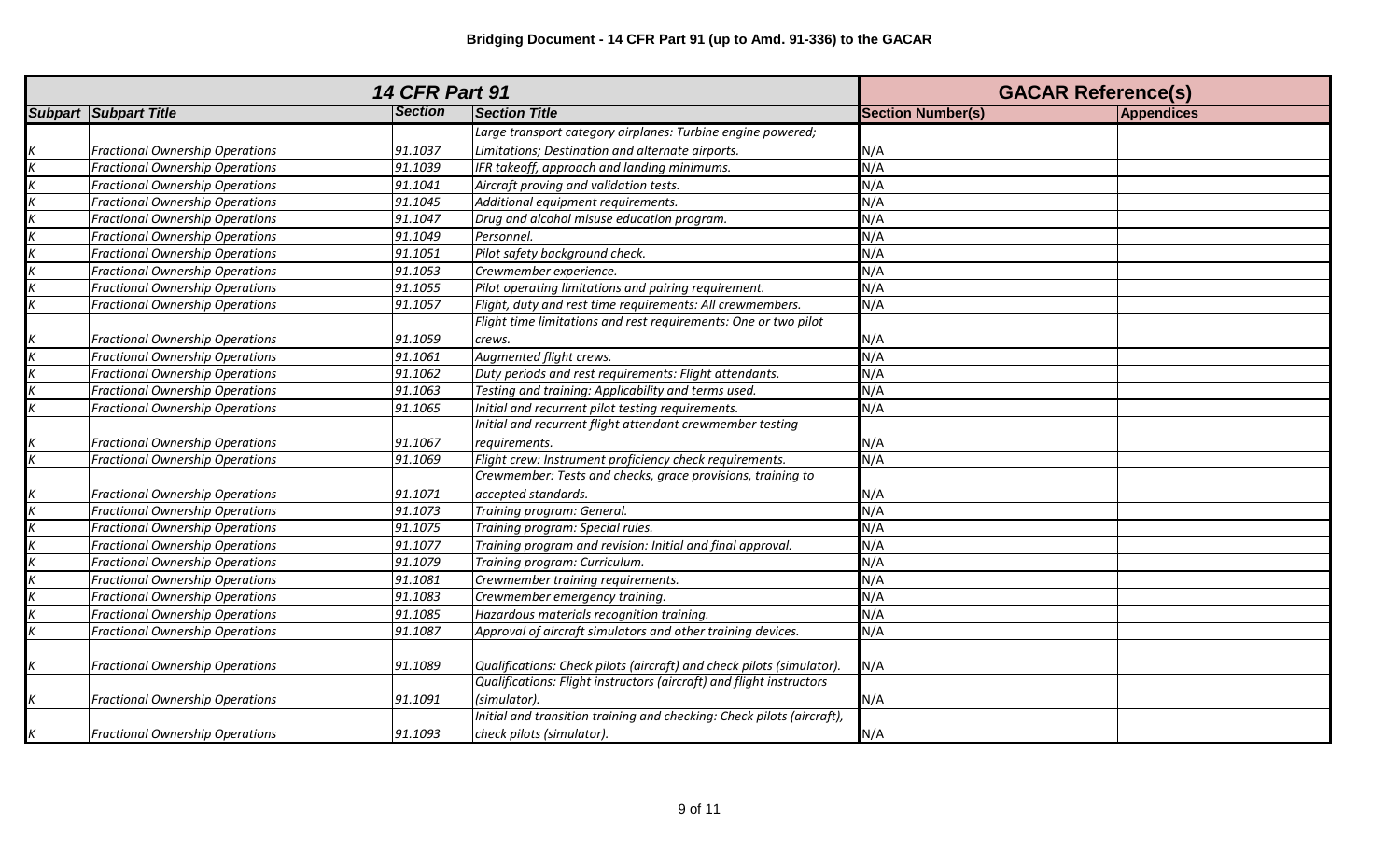| <b>14 CFR Part 91</b> |                                        |                |                                                                        | <b>GACAR Reference(s)</b> |                   |
|-----------------------|----------------------------------------|----------------|------------------------------------------------------------------------|---------------------------|-------------------|
|                       | <b>Subpart Subpart Title</b>           | <b>Section</b> | <b>Section Title</b>                                                   | <b>Section Number(s)</b>  | <b>Appendices</b> |
|                       |                                        |                | Large transport category airplanes: Turbine engine powered;            |                           |                   |
|                       | <b>Fractional Ownership Operations</b> | 91.1037        | Limitations; Destination and alternate airports.                       | N/A                       |                   |
|                       | <b>Fractional Ownership Operations</b> | 91.1039        | IFR takeoff, approach and landing minimums.                            | N/A                       |                   |
|                       | <b>Fractional Ownership Operations</b> | 91.1041        | Aircraft proving and validation tests.                                 | N/A                       |                   |
|                       | <b>Fractional Ownership Operations</b> | 91.1045        | Additional equipment requirements.                                     | N/A                       |                   |
|                       | <b>Fractional Ownership Operations</b> | 91.1047        | Drug and alcohol misuse education program.                             | N/A                       |                   |
|                       | <b>Fractional Ownership Operations</b> | 91.1049        | Personnel.                                                             | N/A                       |                   |
|                       | <b>Fractional Ownership Operations</b> | 91.1051        | Pilot safety background check.                                         | N/A                       |                   |
|                       | <b>Fractional Ownership Operations</b> | 91.1053        | Crewmember experience.                                                 | N/A                       |                   |
|                       | <b>Fractional Ownership Operations</b> | 91.1055        | Pilot operating limitations and pairing requirement.                   | N/A                       |                   |
|                       | <b>Fractional Ownership Operations</b> | 91.1057        | Flight, duty and rest time requirements: All crewmembers.              | N/A                       |                   |
|                       |                                        |                | Flight time limitations and rest requirements: One or two pilot        |                           |                   |
|                       | <b>Fractional Ownership Operations</b> | 91.1059        | crews.                                                                 | N/A                       |                   |
|                       | <b>Fractional Ownership Operations</b> | 91.1061        | Augmented flight crews.                                                | N/A                       |                   |
|                       | <b>Fractional Ownership Operations</b> | 91.1062        | Duty periods and rest requirements: Flight attendants.                 | N/A                       |                   |
|                       | <b>Fractional Ownership Operations</b> | 91.1063        | Testing and training: Applicability and terms used.                    | N/A                       |                   |
|                       | <b>Fractional Ownership Operations</b> | 91.1065        | Initial and recurrent pilot testing requirements.                      | N/A                       |                   |
|                       |                                        |                | Initial and recurrent flight attendant crewmember testing              |                           |                   |
|                       | <b>Fractional Ownership Operations</b> | 91.1067        | requirements.                                                          | N/A                       |                   |
|                       | <b>Fractional Ownership Operations</b> | 91.1069        | Flight crew: Instrument proficiency check requirements.                | N/A                       |                   |
|                       |                                        |                | Crewmember: Tests and checks, grace provisions, training to            |                           |                   |
|                       | <b>Fractional Ownership Operations</b> | 91.1071        | accepted standards.                                                    | N/A                       |                   |
|                       | <b>Fractional Ownership Operations</b> | 91.1073        | Training program: General.                                             | N/A                       |                   |
|                       | <b>Fractional Ownership Operations</b> | 91.1075        | Training program: Special rules.                                       | N/A                       |                   |
|                       | <b>Fractional Ownership Operations</b> | 91.1077        | Training program and revision: Initial and final approval.             | N/A                       |                   |
|                       | <b>Fractional Ownership Operations</b> | 91.1079        | Training program: Curriculum.                                          | N/A                       |                   |
|                       | <b>Fractional Ownership Operations</b> | 91.1081        | Crewmember training requirements.                                      | N/A                       |                   |
|                       | <b>Fractional Ownership Operations</b> | 91.1083        | Crewmember emergency training.                                         | N/A                       |                   |
|                       | <b>Fractional Ownership Operations</b> | 91.1085        | Hazardous materials recognition training.                              | N/A                       |                   |
|                       | <b>Fractional Ownership Operations</b> | 91.1087        | Approval of aircraft simulators and other training devices.            | N/A                       |                   |
|                       |                                        |                |                                                                        |                           |                   |
| Κ                     | <b>Fractional Ownership Operations</b> | 91.1089        | Qualifications: Check pilots (aircraft) and check pilots (simulator).  | N/A                       |                   |
|                       |                                        |                | Qualifications: Flight instructors (aircraft) and flight instructors   |                           |                   |
| $\boldsymbol{K}$      | <b>Fractional Ownership Operations</b> | 91.1091        | (simulator).                                                           | N/A                       |                   |
|                       |                                        |                | Initial and transition training and checking: Check pilots (aircraft), |                           |                   |
| К                     | Fractional Ownership Operations        | 91.1093        | check pilots (simulator).                                              | N/A                       |                   |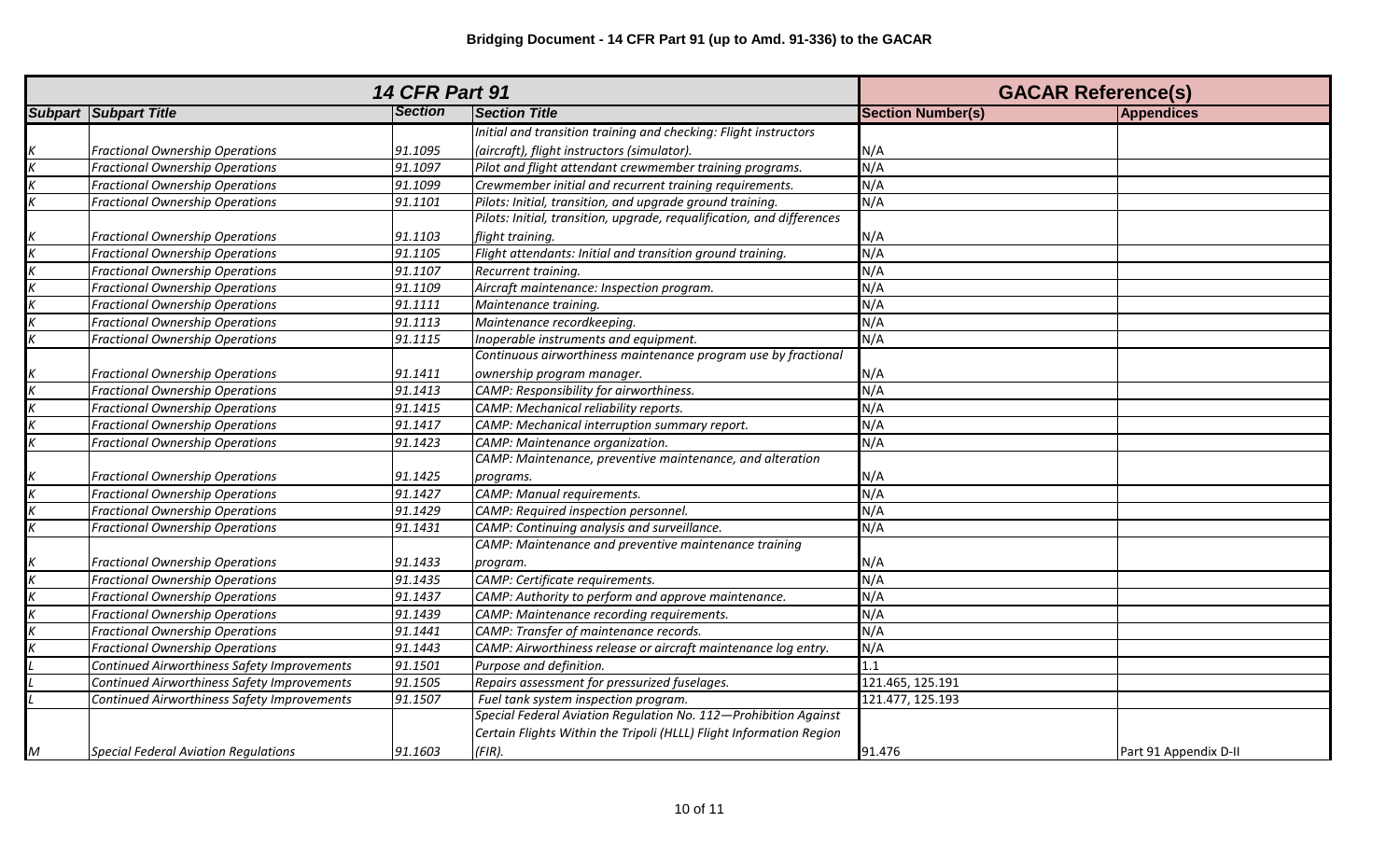|   | <b>14 CFR Part 91</b>                       | <b>GACAR Reference(s)</b> |                                                                        |                          |                       |
|---|---------------------------------------------|---------------------------|------------------------------------------------------------------------|--------------------------|-----------------------|
|   | <b>Subpart Subpart Title</b>                | <b>Section</b>            | <b>Section Title</b>                                                   | <b>Section Number(s)</b> | Appendices            |
|   |                                             |                           | Initial and transition training and checking: Flight instructors       |                          |                       |
|   | <b>Fractional Ownership Operations</b>      | 91.1095                   | (aircraft), flight instructors (simulator).                            | N/A                      |                       |
|   | <b>Fractional Ownership Operations</b>      | 91.1097                   | Pilot and flight attendant crewmember training programs.               | N/A                      |                       |
|   | <b>Fractional Ownership Operations</b>      | 91.1099                   | Crewmember initial and recurrent training requirements.                | N/A                      |                       |
|   | <b>Fractional Ownership Operations</b>      | 91.1101                   | Pilots: Initial, transition, and upgrade ground training.              | N/A                      |                       |
|   |                                             |                           | Pilots: Initial, transition, upgrade, requalification, and differences |                          |                       |
|   | <b>Fractional Ownership Operations</b>      | 91.1103                   | flight training.                                                       | N/A                      |                       |
|   | <b>Fractional Ownership Operations</b>      | 91.1105                   | Flight attendants: Initial and transition ground training.             | N/A                      |                       |
|   | <b>Fractional Ownership Operations</b>      | 91.1107                   | Recurrent training.                                                    | N/A                      |                       |
|   | <b>Fractional Ownership Operations</b>      | 91.1109                   | Aircraft maintenance: Inspection program.                              | N/A                      |                       |
|   | <b>Fractional Ownership Operations</b>      | 91.1111                   | Maintenance training.                                                  | N/A                      |                       |
|   | <b>Fractional Ownership Operations</b>      | 91.1113                   | Maintenance recordkeeping.                                             | N/A                      |                       |
|   | <b>Fractional Ownership Operations</b>      | 91.1115                   | Inoperable instruments and equipment.                                  | N/A                      |                       |
|   |                                             |                           | Continuous airworthiness maintenance program use by fractional         |                          |                       |
|   | <b>Fractional Ownership Operations</b>      | 91.1411                   | ownership program manager.                                             | N/A                      |                       |
|   | <b>Fractional Ownership Operations</b>      | 91.1413                   | CAMP: Responsibility for airworthiness.                                | N/A                      |                       |
|   | <b>Fractional Ownership Operations</b>      | 91.1415                   | CAMP: Mechanical reliability reports.                                  | N/A                      |                       |
|   | <b>Fractional Ownership Operations</b>      | 91.1417                   | CAMP: Mechanical interruption summary report.                          | N/A                      |                       |
|   | <b>Fractional Ownership Operations</b>      | 91.1423                   | CAMP: Maintenance organization.                                        | N/A                      |                       |
|   |                                             |                           | CAMP: Maintenance, preventive maintenance, and alteration              |                          |                       |
|   | Fractional Ownership Operations             | 91.1425                   | programs.                                                              | N/A                      |                       |
|   | <b>Fractional Ownership Operations</b>      | 91.1427                   | CAMP: Manual requirements.                                             | N/A                      |                       |
|   | <b>Fractional Ownership Operations</b>      | 91.1429                   | CAMP: Required inspection personnel.                                   | N/A                      |                       |
|   | <b>Fractional Ownership Operations</b>      | 91.1431                   | CAMP: Continuing analysis and surveillance.                            | N/A                      |                       |
|   |                                             |                           | CAMP: Maintenance and preventive maintenance training                  |                          |                       |
|   | <b>Fractional Ownership Operations</b>      | 91.1433                   | program.                                                               | N/A                      |                       |
|   | <b>Fractional Ownership Operations</b>      | 91.1435                   | CAMP: Certificate requirements.                                        | N/A                      |                       |
|   | <b>Fractional Ownership Operations</b>      | 91.1437                   | CAMP: Authority to perform and approve maintenance.                    | N/A                      |                       |
|   | <b>Fractional Ownership Operations</b>      | 91.1439                   | CAMP: Maintenance recording requirements.                              | N/A                      |                       |
|   | <b>Fractional Ownership Operations</b>      | 91.1441                   | CAMP: Transfer of maintenance records.                                 | N/A                      |                       |
|   | <b>Fractional Ownership Operations</b>      | 91.1443                   | CAMP: Airworthiness release or aircraft maintenance log entry.         | N/A                      |                       |
|   | Continued Airworthiness Safety Improvements | 91.1501                   | Purpose and definition.                                                | 1.1                      |                       |
|   | Continued Airworthiness Safety Improvements | 91.1505                   | Repairs assessment for pressurized fuselages.                          | 121.465, 125.191         |                       |
|   | Continued Airworthiness Safety Improvements | 91.1507                   | Fuel tank system inspection program.                                   | 121.477, 125.193         |                       |
|   |                                             |                           | Special Federal Aviation Regulation No. 112-Prohibition Against        |                          |                       |
|   |                                             |                           | Certain Flights Within the Tripoli (HLLL) Flight Information Region    |                          |                       |
| M | <b>Special Federal Aviation Regulations</b> | 91.1603                   | $(FIR)$ .                                                              | 91.476                   | Part 91 Appendix D-II |